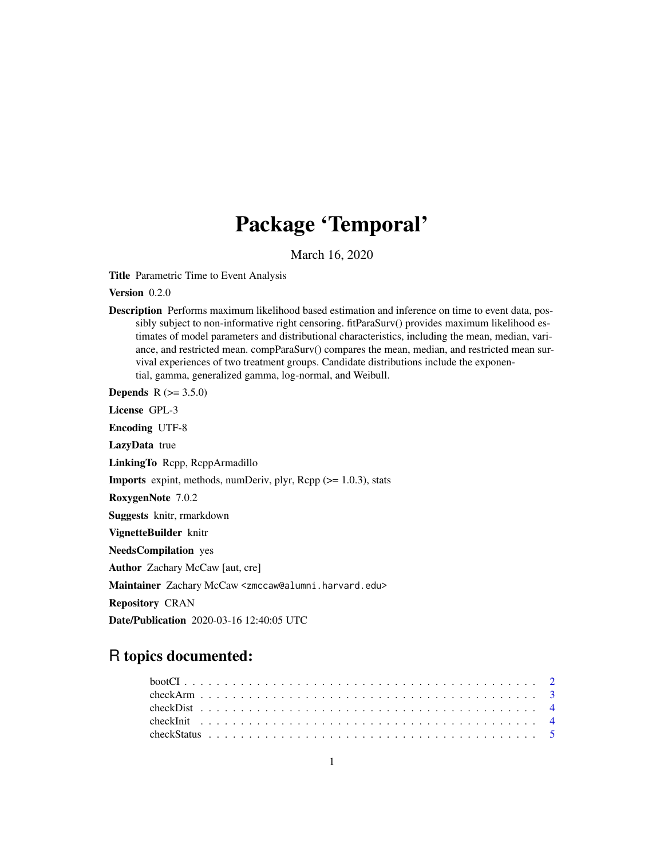# Package 'Temporal'

March 16, 2020

Title Parametric Time to Event Analysis

Version 0.2.0

Description Performs maximum likelihood based estimation and inference on time to event data, possibly subject to non-informative right censoring. fitParaSurv() provides maximum likelihood estimates of model parameters and distributional characteristics, including the mean, median, variance, and restricted mean. compParaSurv() compares the mean, median, and restricted mean survival experiences of two treatment groups. Candidate distributions include the exponential, gamma, generalized gamma, log-normal, and Weibull.

**Depends** R  $(>= 3.5.0)$ 

License GPL-3

Encoding UTF-8

LazyData true

LinkingTo Rcpp, RcppArmadillo

**Imports** expint, methods, numDeriv, plyr,  $\text{Rcpp}$  ( $\geq 1.0.3$ ), stats

RoxygenNote 7.0.2

Suggests knitr, rmarkdown

VignetteBuilder knitr

NeedsCompilation yes

Author Zachary McCaw [aut, cre]

Maintainer Zachary McCaw <zmccaw@alumni.harvard.edu>

Repository CRAN

Date/Publication 2020-03-16 12:40:05 UTC

# R topics documented: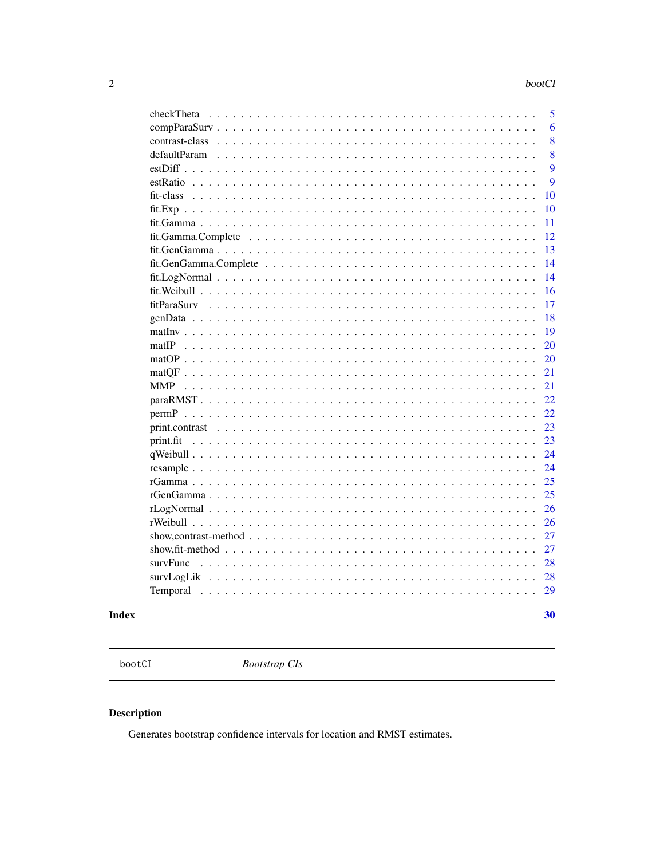<span id="page-1-0"></span>

| checkTheta                                                                                                         | 5  |
|--------------------------------------------------------------------------------------------------------------------|----|
|                                                                                                                    | 6  |
|                                                                                                                    | 8  |
| defaultParam                                                                                                       | 8  |
|                                                                                                                    | 9  |
|                                                                                                                    | 9  |
| fit-class                                                                                                          | 10 |
|                                                                                                                    | 10 |
|                                                                                                                    | 11 |
|                                                                                                                    | 12 |
|                                                                                                                    | 13 |
|                                                                                                                    | 14 |
|                                                                                                                    | 14 |
|                                                                                                                    | 16 |
| fitParaSurv                                                                                                        | 17 |
|                                                                                                                    | 18 |
|                                                                                                                    | 19 |
|                                                                                                                    | 20 |
|                                                                                                                    | 20 |
|                                                                                                                    | 21 |
| <b>MMP</b>                                                                                                         | 21 |
|                                                                                                                    | 22 |
|                                                                                                                    | 22 |
| print.contrast                                                                                                     | 23 |
| print.fit                                                                                                          | 23 |
|                                                                                                                    | 24 |
| resample                                                                                                           | 24 |
|                                                                                                                    | 25 |
|                                                                                                                    | 25 |
|                                                                                                                    | 26 |
| <u>and a straight and a straight and</u>                                                                           | 26 |
| show, contrast-method $\ldots \ldots \ldots \ldots \ldots \ldots \ldots \ldots \ldots \ldots \ldots \ldots \ldots$ | 27 |
| show, fit-method $\ldots \ldots \ldots \ldots \ldots \ldots \ldots \ldots \ldots \ldots \ldots \ldots$             | 27 |
| survFunc                                                                                                           | 28 |
|                                                                                                                    | 28 |
| Temporal<br>$\mathbf{1}$ $\mathbf{1}$ $\mathbf{1}$ $\mathbf{1}$                                                    | 29 |
|                                                                                                                    |    |
|                                                                                                                    | 30 |

# **Index**

bootCI

**Bootstrap CIs** 

# Description

Generates bootstrap confidence intervals for location and RMST estimates.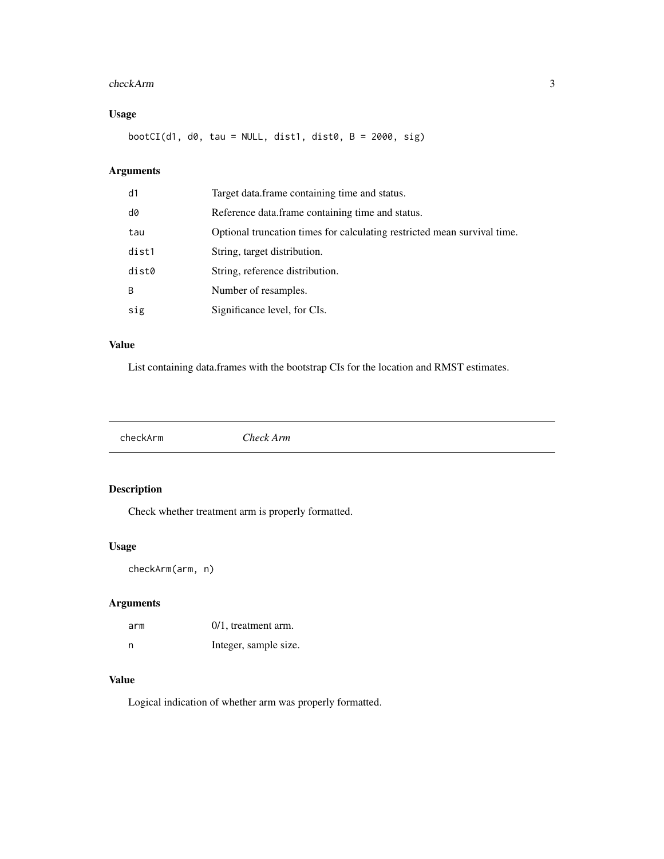#### <span id="page-2-0"></span>checkArm 3

# Usage

 $bootCI(d1, d0, tau = NULL, dist1, dist0, B = 2000, sig)$ 

# Arguments

| d1           | Target data.frame containing time and status.                            |
|--------------|--------------------------------------------------------------------------|
| d0           | Reference data.frame containing time and status.                         |
| tau          | Optional truncation times for calculating restricted mean survival time. |
| dist1        | String, target distribution.                                             |
| dist0        | String, reference distribution.                                          |
| <sub>B</sub> | Number of resamples.                                                     |
| sig          | Significance level, for CIs.                                             |

# Value

List containing data.frames with the bootstrap CIs for the location and RMST estimates.

checkArm *Check Arm*

# Description

Check whether treatment arm is properly formatted.

#### Usage

checkArm(arm, n)

# Arguments

| arm | $0/1$ , treatment arm. |
|-----|------------------------|
| n   | Integer, sample size.  |

# Value

Logical indication of whether arm was properly formatted.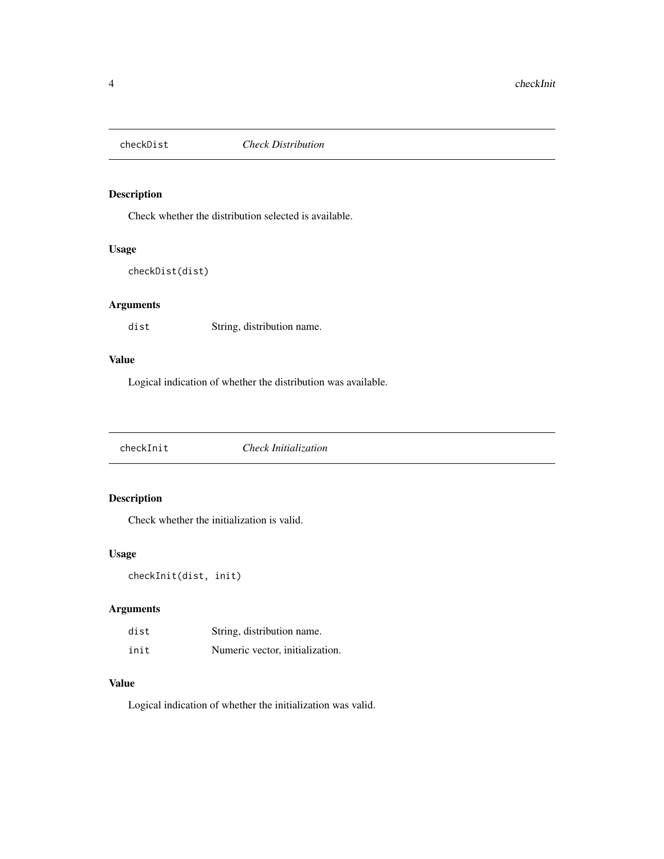<span id="page-3-0"></span>

Check whether the distribution selected is available.

#### Usage

```
checkDist(dist)
```
# Arguments

dist String, distribution name.

# Value

Logical indication of whether the distribution was available.

checkInit *Check Initialization*

# Description

Check whether the initialization is valid.

#### Usage

checkInit(dist, init)

# Arguments

| dist | String, distribution name.      |
|------|---------------------------------|
| init | Numeric vector, initialization. |

#### Value

Logical indication of whether the initialization was valid.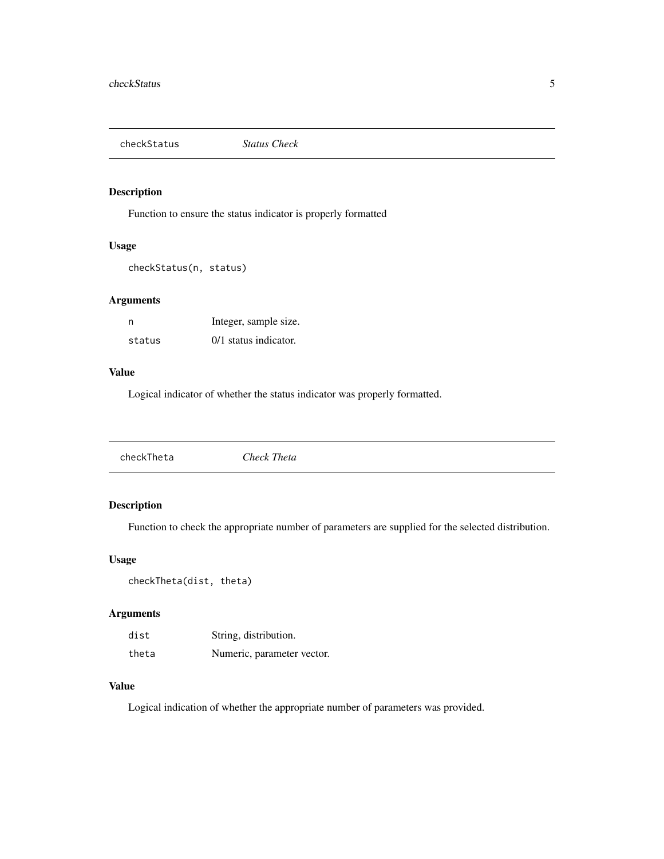<span id="page-4-0"></span>checkStatus *Status Check*

#### Description

Function to ensure the status indicator is properly formatted

#### Usage

checkStatus(n, status)

#### Arguments

| n      | Integer, sample size. |
|--------|-----------------------|
| status | 0/1 status indicator. |

#### Value

Logical indicator of whether the status indicator was properly formatted.

|--|

#### Description

Function to check the appropriate number of parameters are supplied for the selected distribution.

#### Usage

```
checkTheta(dist, theta)
```
#### Arguments

| dist  | String, distribution.      |
|-------|----------------------------|
| theta | Numeric, parameter vector. |

# Value

Logical indication of whether the appropriate number of parameters was provided.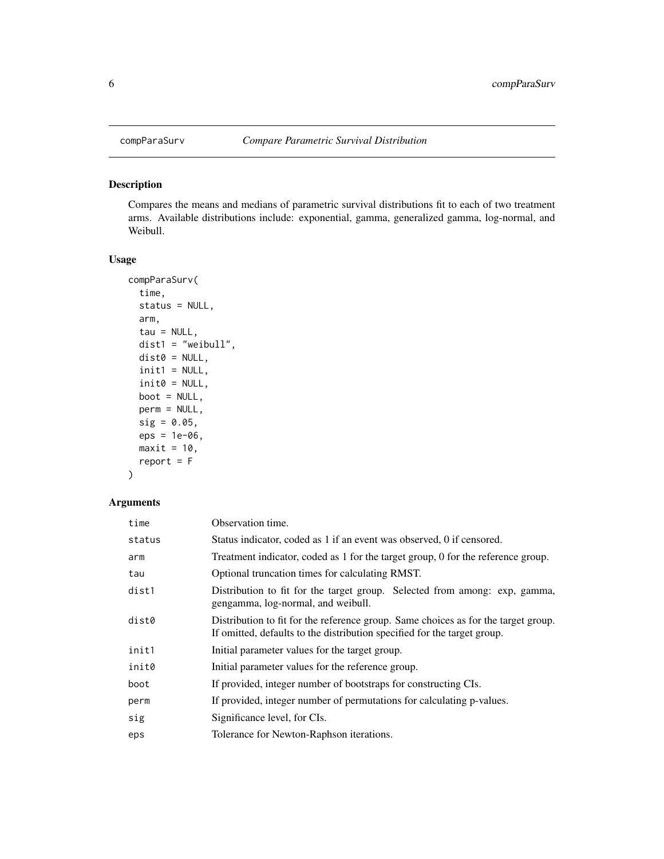<span id="page-5-1"></span><span id="page-5-0"></span>

Compares the means and medians of parametric survival distributions fit to each of two treatment arms. Available distributions include: exponential, gamma, generalized gamma, log-normal, and Weibull.

#### Usage

```
compParaSurv(
  time,
  status = NULL,
  arm,
  tau = NULL,dist1 = "weibull",
  dist0 = NULL,init1 = NULL,init0 = NULL,boot = NULL,perm = NULL,
  sig = 0.05,eps = 1e-06,
 maxit = 10,
  report = F\mathcal{L}
```

| time   | Observation time.                                                                                                                                              |
|--------|----------------------------------------------------------------------------------------------------------------------------------------------------------------|
| status | Status indicator, coded as 1 if an event was observed, 0 if censored.                                                                                          |
| arm    | Treatment indicator, coded as 1 for the target group, 0 for the reference group.                                                                               |
| tau    | Optional truncation times for calculating RMST.                                                                                                                |
| dist1  | Distribution to fit for the target group. Selected from among: exp. gamma,<br>gengamma, log-normal, and weibull.                                               |
| dist0  | Distribution to fit for the reference group. Same choices as for the target group.<br>If omitted, defaults to the distribution specified for the target group. |
| init1  | Initial parameter values for the target group.                                                                                                                 |
| init0  | Initial parameter values for the reference group.                                                                                                              |
| boot   | If provided, integer number of bootstraps for constructing CIs.                                                                                                |
| perm   | If provided, integer number of permutations for calculating p-values.                                                                                          |
| sig    | Significance level, for CIs.                                                                                                                                   |
| eps    | Tolerance for Newton-Raphson iterations.                                                                                                                       |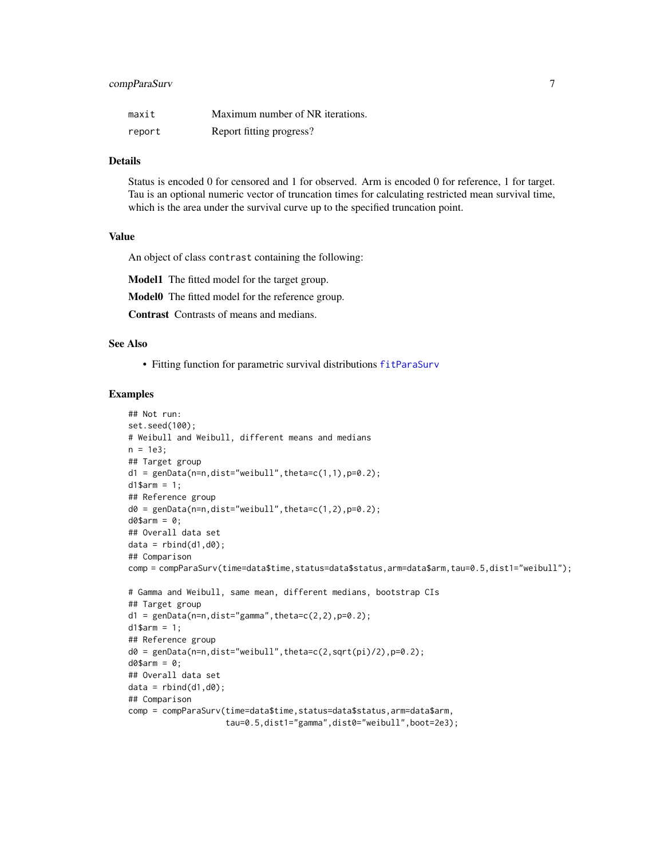#### <span id="page-6-0"></span>compParaSurv 7

| maxit  | Maximum number of NR iterations. |
|--------|----------------------------------|
| report | Report fitting progress?         |

#### Details

Status is encoded 0 for censored and 1 for observed. Arm is encoded 0 for reference, 1 for target. Tau is an optional numeric vector of truncation times for calculating restricted mean survival time, which is the area under the survival curve up to the specified truncation point.

#### Value

An object of class contrast containing the following:

Model1 The fitted model for the target group.

Model0 The fitted model for the reference group.

Contrast Contrasts of means and medians.

#### See Also

• Fitting function for parametric survival distributions [fitParaSurv](#page-16-1)

#### Examples

```
## Not run:
set.seed(100);
# Weibull and Weibull, different means and medians
n = 1e3;
## Target group
d1 = genData(n=n,dist="weibull",theta=c(1,1),p=0.2);
d1$arm = 1;
## Reference group
d0 = genData(n=n,dist="weibull",theta=c(1,2),p=0.2);d0$arm = 0;
## Overall data set
data = rbind(d1, d0);
## Comparison
comp = compParaSurv(time=data$time,status=data$status,arm=data$arm,tau=0.5,dist1="weibull");
# Gamma and Weibull, same mean, different medians, bootstrap CIs
## Target group
d1 = genData(n=n,dist='gamma",theta=c(2,2),p=0.2);d1$arm = 1;
## Reference group
d0 = genData(n=n,dist="weibull",theta=c(2,sqrt(pi)/2),p=0.2);
d0$arm = 0;
## Overall data set
data = rbind(d1, d0);## Comparison
comp = compParaSurv(time=data$time,status=data$status,arm=data$arm,
                    tau=0.5,dist1="gamma",dist0="weibull",boot=2e3);
```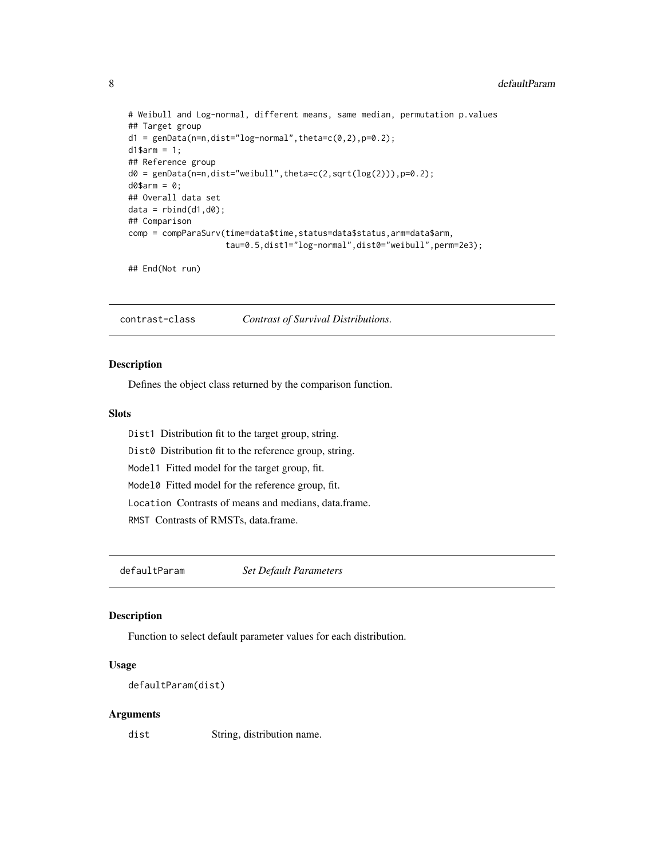```
# Weibull and Log-normal, different means, same median, permutation p.values
## Target group
d1 = genData(n=n,dist="log-normal",theta=c(0,2),p=0.2);d1$arm = 1;
## Reference group
d0 = genData(n=n,dist="weight", theta=c(2,sqrt(log(2))), p=0.2);d0$arm = 0;
## Overall data set
data = rbind(d1, d0);## Comparison
comp = compParaSurv(time=data$time,status=data$status,arm=data$arm,
                    tau=0.5,dist1="log-normal",dist0="weibull",perm=2e3);
```
## End(Not run)

contrast-class *Contrast of Survival Distributions.*

#### Description

Defines the object class returned by the comparison function.

#### Slots

- Dist1 Distribution fit to the target group, string.
- Dist0 Distribution fit to the reference group, string.
- Model1 Fitted model for the target group, fit.
- Model0 Fitted model for the reference group, fit.
- Location Contrasts of means and medians, data.frame.
- RMST Contrasts of RMSTs, data.frame.

defaultParam *Set Default Parameters*

#### Description

Function to select default parameter values for each distribution.

#### Usage

```
defaultParam(dist)
```
#### Arguments

dist String, distribution name.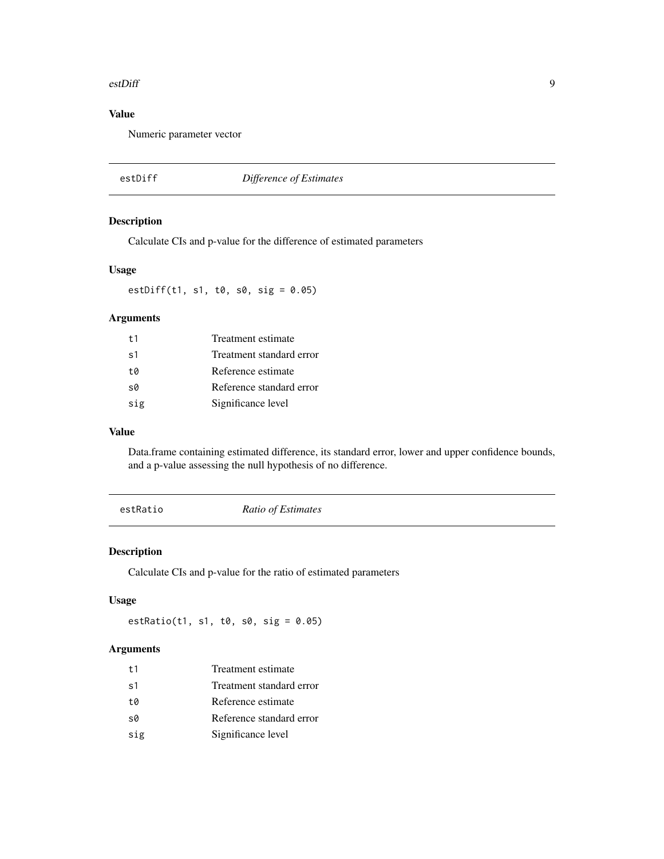#### <span id="page-8-0"></span>estDiff 9

# Value

Numeric parameter vector

estDiff *Difference of Estimates*

#### Description

Calculate CIs and p-value for the difference of estimated parameters

#### Usage

estDiff(t1, s1, t0, s0, sig = 0.05)

#### Arguments

| t <sub>1</sub> | Treatment estimate       |
|----------------|--------------------------|
| s <sub>1</sub> | Treatment standard error |
| t0             | Reference estimate       |
| s0             | Reference standard error |
| sig            | Significance level       |

#### Value

Data.frame containing estimated difference, its standard error, lower and upper confidence bounds, and a p-value assessing the null hypothesis of no difference.

estRatio *Ratio of Estimates*

#### Description

Calculate CIs and p-value for the ratio of estimated parameters

#### Usage

 $estRatio(t1, s1, t0, s0, sig = 0.05)$ 

| t1  | Treatment estimate       |
|-----|--------------------------|
| s1  | Treatment standard error |
| t0  | Reference estimate       |
| s0  | Reference standard error |
| sig | Significance level       |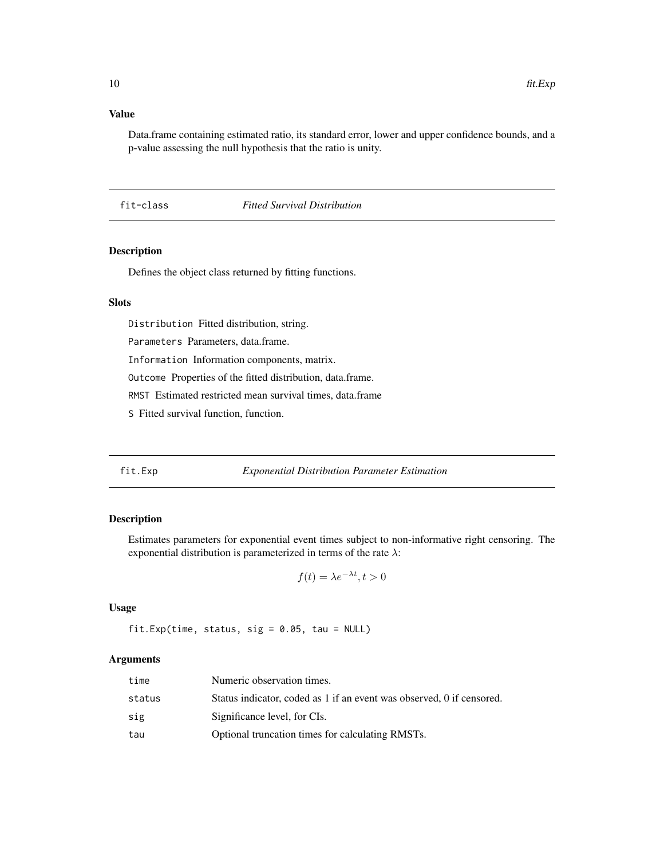#### Value

Data.frame containing estimated ratio, its standard error, lower and upper confidence bounds, and a p-value assessing the null hypothesis that the ratio is unity.

#### fit-class *Fitted Survival Distribution*

#### Description

Defines the object class returned by fitting functions.

# Slots

Distribution Fitted distribution, string.

Parameters Parameters, data.frame.

Information Information components, matrix.

Outcome Properties of the fitted distribution, data.frame.

RMST Estimated restricted mean survival times, data.frame

S Fitted survival function, function.

#### <span id="page-9-1"></span>fit.Exp *Exponential Distribution Parameter Estimation*

#### Description

Estimates parameters for exponential event times subject to non-informative right censoring. The exponential distribution is parameterized in terms of the rate  $\lambda$ :

$$
f(t) = \lambda e^{-\lambda t}, t > 0
$$

#### Usage

fit.Exp(time, status, sig =  $0.05$ , tau = NULL)

| time   | Numeric observation times.                                            |
|--------|-----------------------------------------------------------------------|
| status | Status indicator, coded as 1 if an event was observed, 0 if censored. |
| sig    | Significance level, for CIs.                                          |
| tau    | Optional truncation times for calculating RMSTs.                      |

<span id="page-9-0"></span>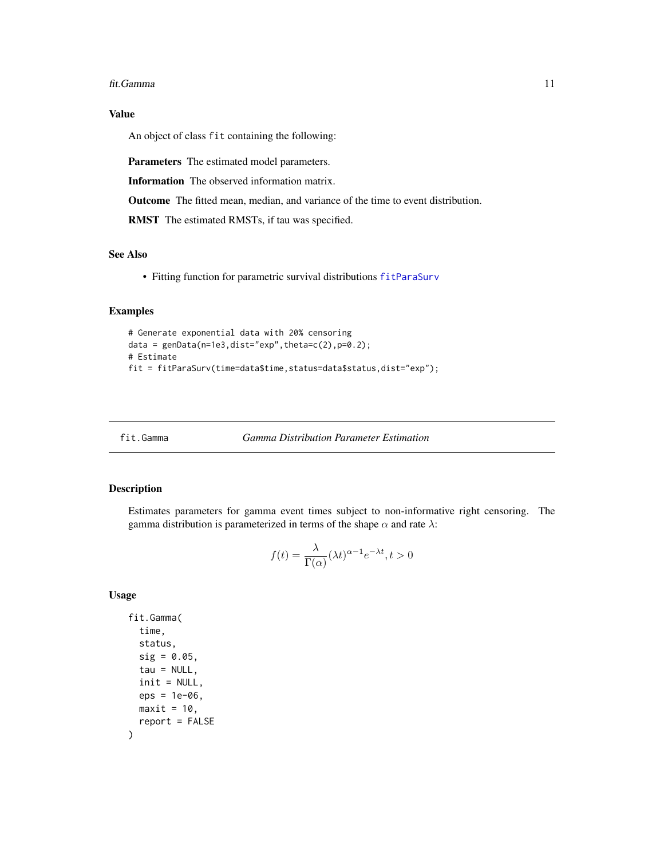#### <span id="page-10-0"></span>fit.Gamma 11

# Value

An object of class fit containing the following:

Parameters The estimated model parameters.

Information The observed information matrix.

Outcome The fitted mean, median, and variance of the time to event distribution.

RMST The estimated RMSTs, if tau was specified.

#### See Also

• Fitting function for parametric survival distributions [fitParaSurv](#page-16-1)

#### Examples

```
# Generate exponential data with 20% censoring
data = genData(n=1e3,dist="exp",theta=c(2),p=0.2);
# Estimate
fit = fitParaSurv(time=data$time,status=data$status,dist="exp");
```
<span id="page-10-1"></span>fit.Gamma *Gamma Distribution Parameter Estimation*

#### Description

Estimates parameters for gamma event times subject to non-informative right censoring. The gamma distribution is parameterized in terms of the shape  $\alpha$  and rate  $\lambda$ :

$$
f(t) = \frac{\lambda}{\Gamma(\alpha)} (\lambda t)^{\alpha - 1} e^{-\lambda t}, t > 0
$$

#### Usage

```
fit.Gamma(
  time,
  status,
 sig = 0.05,tau = NULL,init = NULL,eps = 1e-06,
 maxit = 10,
  report = FALSE
)
```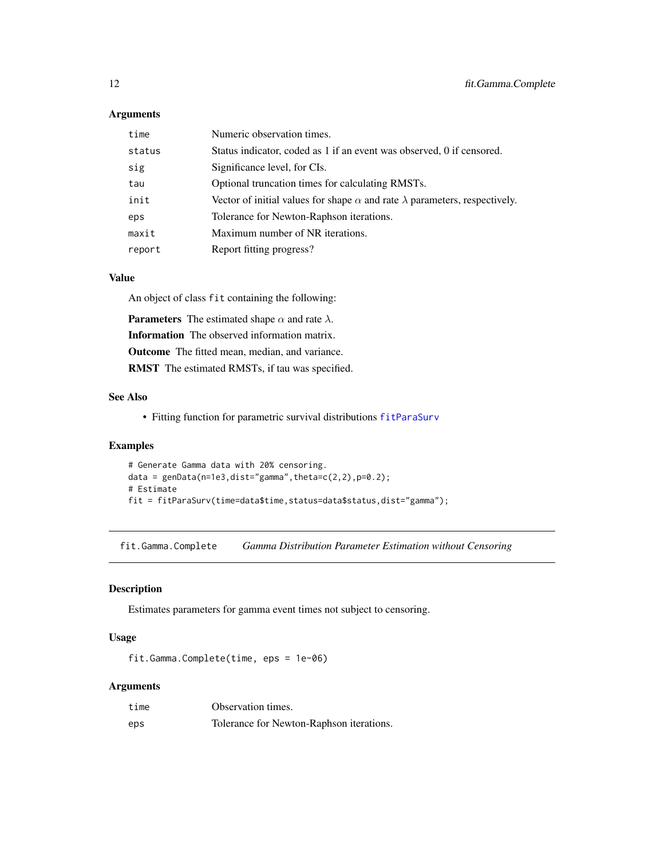#### <span id="page-11-0"></span>Arguments

| time   | Numeric observation times.                                                               |
|--------|------------------------------------------------------------------------------------------|
| status | Status indicator, coded as 1 if an event was observed, 0 if censored.                    |
| sig    | Significance level, for CIs.                                                             |
| tau    | Optional truncation times for calculating RMSTs.                                         |
| init   | Vector of initial values for shape $\alpha$ and rate $\lambda$ parameters, respectively. |
| eps    | Tolerance for Newton-Raphson iterations.                                                 |
| maxit  | Maximum number of NR iterations.                                                         |
| report | Report fitting progress?                                                                 |

#### Value

An object of class fit containing the following:

**Parameters** The estimated shape  $\alpha$  and rate  $\lambda$ . Information The observed information matrix. Outcome The fitted mean, median, and variance. RMST The estimated RMSTs, if tau was specified.

# See Also

• Fitting function for parametric survival distributions [fitParaSurv](#page-16-1)

#### Examples

```
# Generate Gamma data with 20% censoring.
data = genData(n=1e3,dist="gamma] , theta=c(2,2), p=0.2);
# Estimate
fit = fitParaSurv(time=data$time,status=data$status,dist="gamma");
```
fit.Gamma.Complete *Gamma Distribution Parameter Estimation without Censoring*

#### Description

Estimates parameters for gamma event times not subject to censoring.

#### Usage

```
fit.Gamma.Complete(time, eps = 1e-06)
```

| time | Observation times.                       |
|------|------------------------------------------|
| eps  | Tolerance for Newton-Raphson iterations. |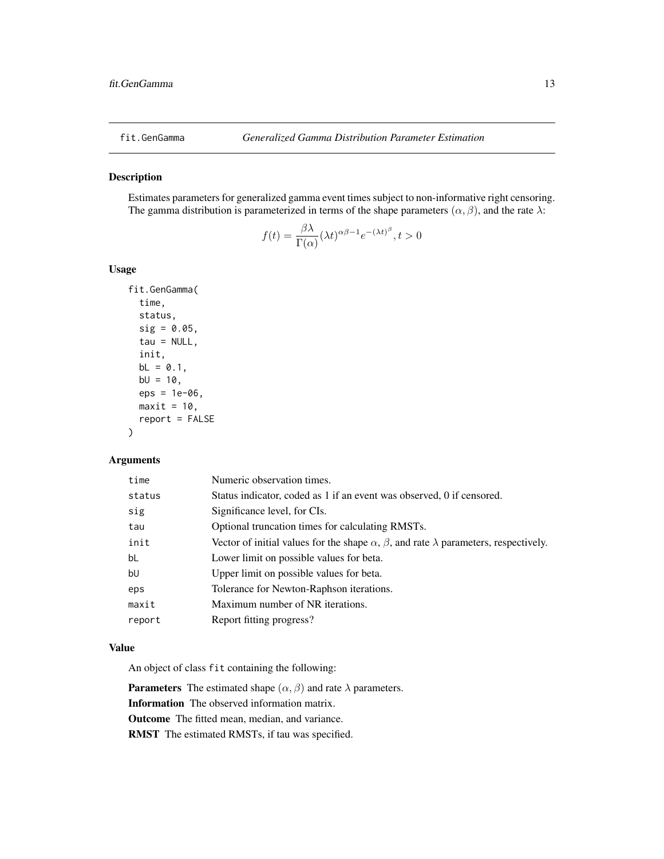<span id="page-12-1"></span><span id="page-12-0"></span>

Estimates parameters for generalized gamma event times subject to non-informative right censoring. The gamma distribution is parameterized in terms of the shape parameters  $(\alpha, \beta)$ , and the rate  $\lambda$ :

$$
f(t) = \frac{\beta \lambda}{\Gamma(\alpha)} (\lambda t)^{\alpha \beta - 1} e^{-(\lambda t)^{\beta}}, t > 0
$$

#### Usage

```
fit.GenGamma(
  time,
  status,
  sig = 0.05,
  tau = NULL,init,
  bL = 0.1,
  bU = 10,
  eps = 1e-06,
 maxit = 10,
  report = FALSE
)
```
#### Arguments

| time   | Numeric observation times.                                                                               |
|--------|----------------------------------------------------------------------------------------------------------|
| status | Status indicator, coded as 1 if an event was observed, 0 if censored.                                    |
| sig    | Significance level, for CIs.                                                                             |
| tau    | Optional truncation times for calculating RMSTs.                                                         |
| init   | Vector of initial values for the shape $\alpha$ , $\beta$ , and rate $\lambda$ parameters, respectively. |
| bL     | Lower limit on possible values for beta.                                                                 |
| bU     | Upper limit on possible values for beta.                                                                 |
| eps    | Tolerance for Newton-Raphson iterations.                                                                 |
| maxit  | Maximum number of NR iterations.                                                                         |
| report | Report fitting progress?                                                                                 |
|        |                                                                                                          |

#### Value

An object of class fit containing the following:

**Parameters** The estimated shape  $(\alpha, \beta)$  and rate  $\lambda$  parameters. Information The observed information matrix. Outcome The fitted mean, median, and variance.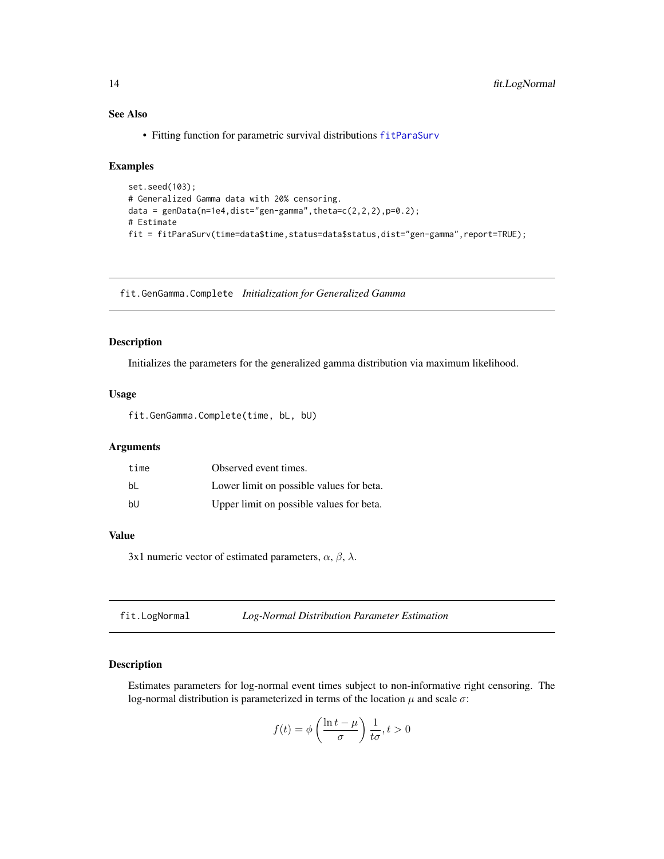#### See Also

• Fitting function for parametric survival distributions [fitParaSurv](#page-16-1)

#### Examples

```
set.seed(103);
# Generalized Gamma data with 20% censoring.
data = genData(n=1e4,dist="gen-gamma", theta=c(2,2,2), p=0.2);# Estimate
fit = fitParaSurv(time=data$time,status=data$status,dist="gen-gamma",report=TRUE);
```
fit.GenGamma.Complete *Initialization for Generalized Gamma*

#### Description

Initializes the parameters for the generalized gamma distribution via maximum likelihood.

#### Usage

fit.GenGamma.Complete(time, bL, bU)

#### Arguments

| time | Observed event times.                    |
|------|------------------------------------------|
| bl   | Lower limit on possible values for beta. |
| bU   | Upper limit on possible values for beta. |

#### Value

3x1 numeric vector of estimated parameters,  $\alpha$ ,  $\beta$ ,  $\lambda$ .

<span id="page-13-1"></span>

| fit.LogNormal | Log-Normal Distribution Parameter Estimation |  |
|---------------|----------------------------------------------|--|
|---------------|----------------------------------------------|--|

#### Description

Estimates parameters for log-normal event times subject to non-informative right censoring. The log-normal distribution is parameterized in terms of the location  $\mu$  and scale  $\sigma$ :

$$
f(t) = \phi\left(\frac{\ln t - \mu}{\sigma}\right) \frac{1}{t\sigma}, t > 0
$$

<span id="page-13-0"></span>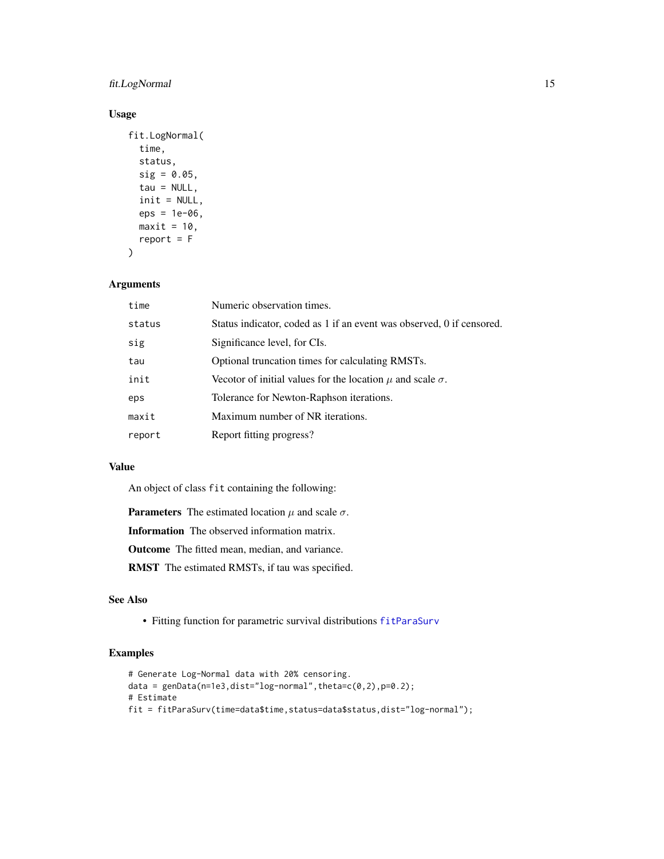#### fit.LogNormal 15

#### Usage

```
fit.LogNormal(
  time,
  status,
 sig = 0.05,tau = NULL,init = NULL,
  eps = 1e-06,
 maxit = 10,
 report = F\lambda
```
#### Arguments

| time   | Numeric observation times.                                            |
|--------|-----------------------------------------------------------------------|
| status | Status indicator, coded as 1 if an event was observed, 0 if censored. |
| sig    | Significance level, for CIs.                                          |
| tau    | Optional truncation times for calculating RMSTs.                      |
| init   | Vecotor of initial values for the location $\mu$ and scale $\sigma$ . |
| eps    | Tolerance for Newton-Raphson iterations.                              |
| maxit  | Maximum number of NR iterations.                                      |
| report | Report fitting progress?                                              |

#### Value

An object of class fit containing the following:

**Parameters** The estimated location  $\mu$  and scale  $\sigma$ .

Information The observed information matrix.

Outcome The fitted mean, median, and variance.

RMST The estimated RMSTs, if tau was specified.

# See Also

• Fitting function for parametric survival distributions [fitParaSurv](#page-16-1)

#### Examples

```
# Generate Log-Normal data with 20% censoring.
data = genData(n=1e3,dist="log-normal",theta=c(0,2),p=0.2);# Estimate
fit = fitParaSurv(time=data$time,status=data$status,dist="log-normal");
```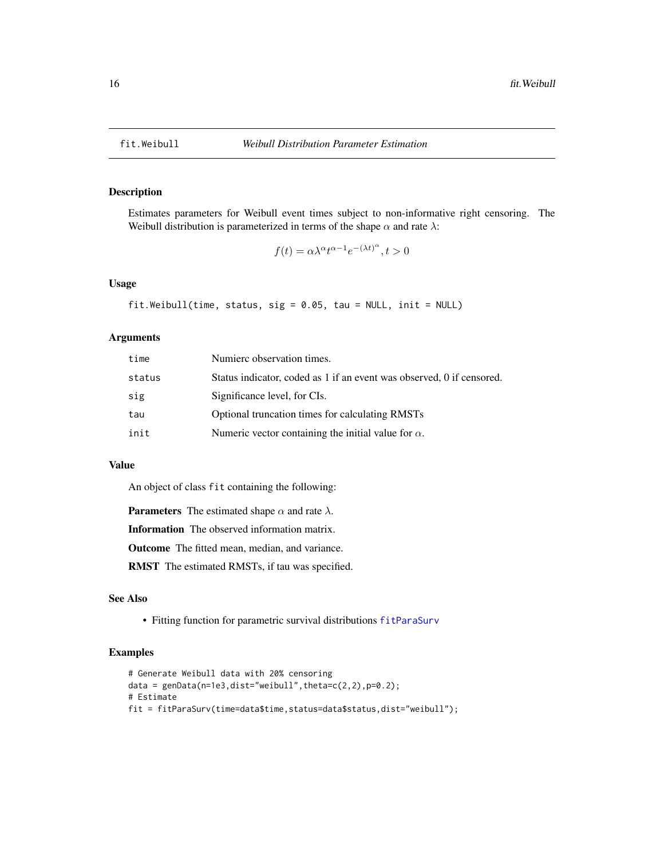Estimates parameters for Weibull event times subject to non-informative right censoring. The Weibull distribution is parameterized in terms of the shape  $\alpha$  and rate  $\lambda$ :

$$
f(t) = \alpha \lambda^{\alpha} t^{\alpha - 1} e^{-(\lambda t)^{\alpha}}, t > 0
$$

#### Usage

```
fit.Weibull(time, status, sig = 0.05, tau = NULL, init = NULL)
```
#### Arguments

| time   | Numierc observation times.                                            |
|--------|-----------------------------------------------------------------------|
| status | Status indicator, coded as 1 if an event was observed, 0 if censored. |
| sig    | Significance level, for CIs.                                          |
| tau    | Optional truncation times for calculating RMSTs                       |
| init   | Numeric vector containing the initial value for $\alpha$ .            |

# Value

An object of class fit containing the following:

**Parameters** The estimated shape  $\alpha$  and rate  $\lambda$ .

Information The observed information matrix.

Outcome The fitted mean, median, and variance.

RMST The estimated RMSTs, if tau was specified.

#### See Also

• Fitting function for parametric survival distributions [fitParaSurv](#page-16-1)

#### Examples

```
# Generate Weibull data with 20% censoring
data = genData(n=1e3,dist="weibull",theta=c(2,2),p=0.2);
# Estimate
fit = fitParaSurv(time=data$time,status=data$status,dist="weibull");
```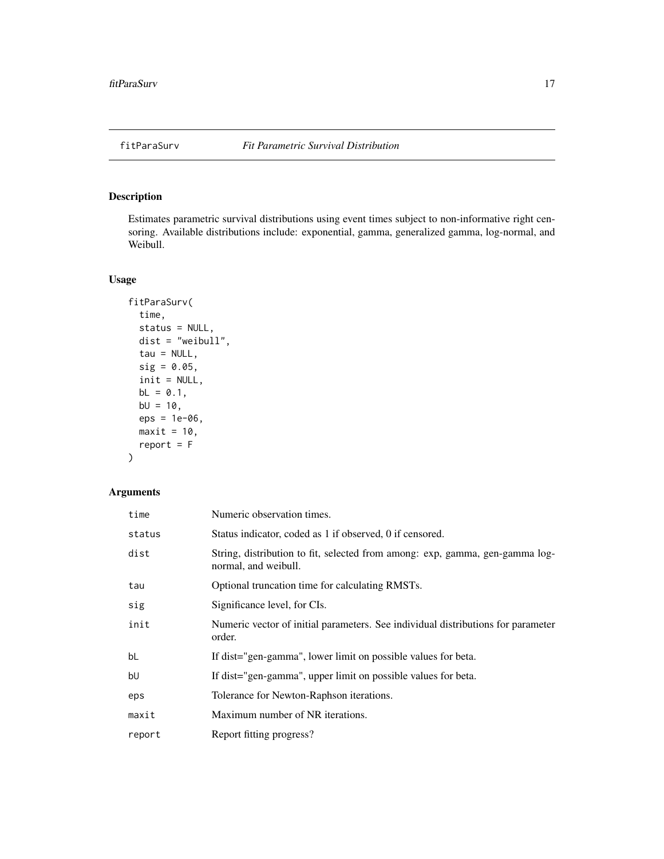<span id="page-16-1"></span><span id="page-16-0"></span>

Estimates parametric survival distributions using event times subject to non-informative right censoring. Available distributions include: exponential, gamma, generalized gamma, log-normal, and Weibull.

#### Usage

```
fitParaSurv(
  time,
  status = NULL,
 dist = "weibull",
 tau = NULL,sig = 0.05,init = NULL,bL = 0.1,
 bU = 10,
 eps = 1e-06,
 maxit = 10,
 report = F)
```

| time   | Numeric observation times.                                                                           |
|--------|------------------------------------------------------------------------------------------------------|
| status | Status indicator, coded as 1 if observed, 0 if censored.                                             |
| dist   | String, distribution to fit, selected from among: exp, gamma, gen-gamma log-<br>normal, and weibull. |
| tau    | Optional truncation time for calculating RMSTs.                                                      |
| sig    | Significance level, for CIs.                                                                         |
| init   | Numeric vector of initial parameters. See individual distributions for parameter<br>order.           |
| bL     | If dist="gen-gamma", lower limit on possible values for beta.                                        |
| bU     | If dist="gen-gamma", upper limit on possible values for beta.                                        |
| eps    | Tolerance for Newton-Raphson iterations.                                                             |
| maxit  | Maximum number of NR iterations.                                                                     |
| report | Report fitting progress?                                                                             |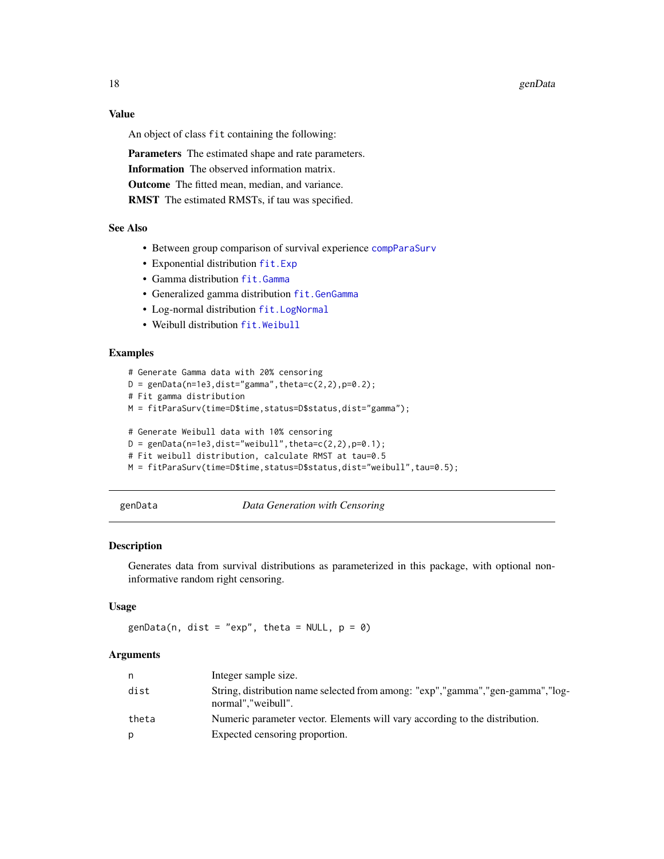<span id="page-17-0"></span>18 genData

#### Value

An object of class fit containing the following:

Parameters The estimated shape and rate parameters. Information The observed information matrix. Outcome The fitted mean, median, and variance. RMST The estimated RMSTs, if tau was specified.

# See Also

- Between group comparison of survival experience [compParaSurv](#page-5-1)
- Exponential distribution [fit.Exp](#page-9-1)
- Gamma distribution [fit.Gamma](#page-10-1)
- Generalized gamma distribution [fit.GenGamma](#page-12-1)
- Log-normal distribution [fit.LogNormal](#page-13-1)
- Weibull distribution [fit.Weibull](#page-15-1)

# Examples

```
# Generate Gamma data with 20% censoring
D = genData(n=1e3,dist="gamma" and n=0.2);
# Fit gamma distribution
M = fitParaSurv(time=D$time,status=D$status,dist="gamma");
# Generate Weibull data with 10% censoring
D = genData(n=1e3,dist="weight", theta=c(2,2), p=0.1);# Fit weibull distribution, calculate RMST at tau=0.5
M = fitParaSurv(time=D$time,status=D$status,dist="weibull",tau=0.5);
```
genData *Data Generation with Censoring*

#### Description

Generates data from survival distributions as parameterized in this package, with optional noninformative random right censoring.

#### Usage

genData(n, dist = "exp", theta = NULL,  $p = 0$ )

| n.    | Integer sample size.                                                                                     |
|-------|----------------------------------------------------------------------------------------------------------|
| dist  | String, distribution name selected from among: "exp", "gamma", "gen-gamma", "log-<br>normal", "weibull". |
| theta | Numeric parameter vector. Elements will vary according to the distribution.                              |
| p     | Expected censoring proportion.                                                                           |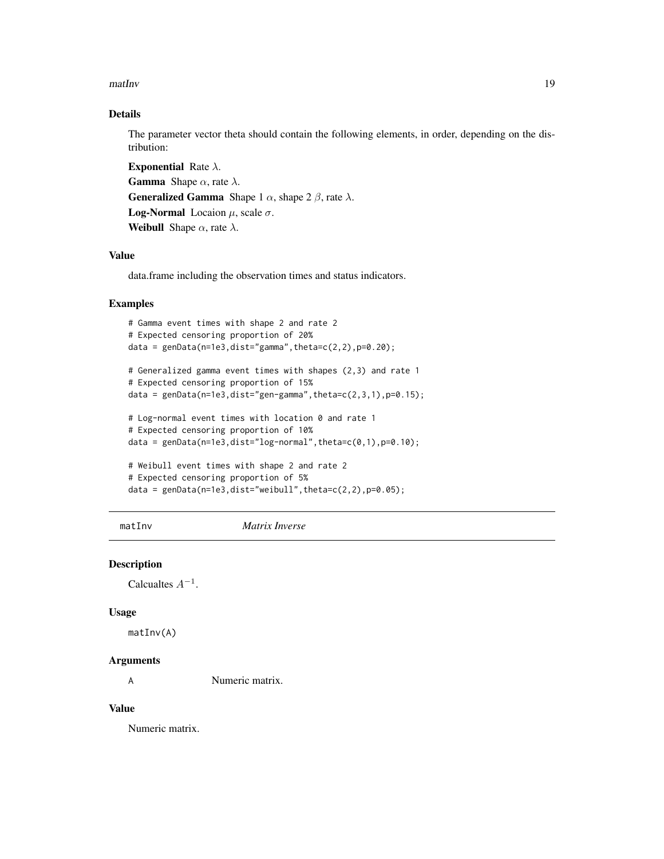<span id="page-18-0"></span>matInv 19

#### Details

The parameter vector theta should contain the following elements, in order, depending on the distribution:

**Exponential Rate**  $\lambda$ **. Gamma** Shape  $\alpha$ , rate  $\lambda$ . **Generalized Gamma** Shape 1  $\alpha$ , shape 2  $\beta$ , rate  $\lambda$ . **Log-Normal** Locaion  $\mu$ , scale  $\sigma$ . Weibull Shape  $\alpha$ , rate  $\lambda$ .

#### Value

data.frame including the observation times and status indicators.

#### Examples

```
# Gamma event times with shape 2 and rate 2
# Expected censoring proportion of 20%
data = genData(n=1e3,dist="gamma] , theta=c(2,2), p=0.20);
# Generalized gamma event times with shapes (2,3) and rate 1
# Expected censoring proportion of 15%
data = genData(n=1e3,dist="gen-gamma", theta=c(2,3,1), p=0.15);# Log-normal event times with location 0 and rate 1
# Expected censoring proportion of 10%
data = genData(n=1e3,dist="log-normal",theta=c(0,1),p=0.10);
# Weibull event times with shape 2 and rate 2
# Expected censoring proportion of 5%
data = genData(n=1e3,dist="weibull",theta=c(2,2),p=0.05);
```
matInv *Matrix Inverse*

#### Description

Calcualtes  $A^{-1}$ .

#### Usage

matInv(A)

#### Arguments

A Numeric matrix.

#### Value

Numeric matrix.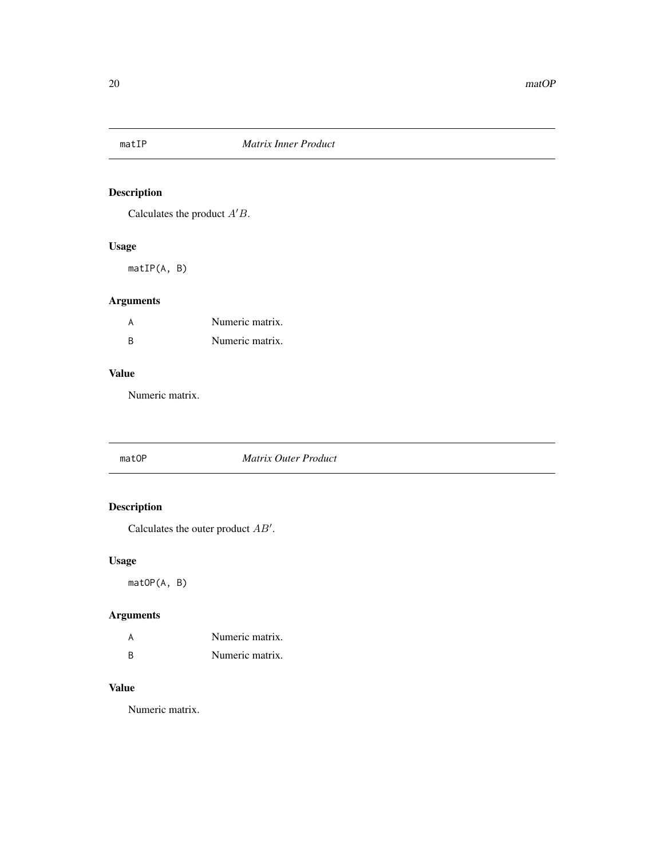<span id="page-19-0"></span>

Calculates the product  $A'B$ .

#### Usage

matIP(A, B)

# Arguments

| А | Numeric matrix. |
|---|-----------------|
| B | Numeric matrix. |

### Value

Numeric matrix.

#### matOP *Matrix Outer Product*

# Description

Calculates the outer product  $AB'$ .

# Usage

matOP(A, B)

# Arguments

|          | Numeric matrix. |
|----------|-----------------|
| <b>R</b> | Numeric matrix. |

# Value

Numeric matrix.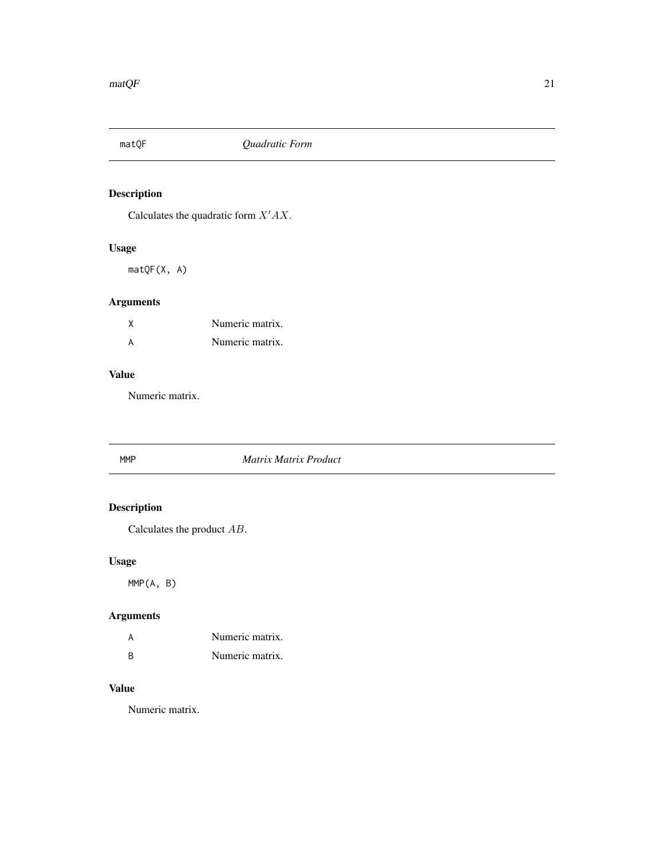<span id="page-20-0"></span>

Calculates the quadratic form  $X'AX$ .

# Usage

matQF(X, A)

# Arguments

| Numeric matrix. |
|-----------------|
| Numeric matrix. |

# Value

Numeric matrix.

# MMP *Matrix Matrix Product*

# Description

Calculates the product AB.

# Usage

MMP(A, B)

# Arguments

| A        | Numeric matrix. |
|----------|-----------------|
| <b>R</b> | Numeric matrix. |

# Value

Numeric matrix.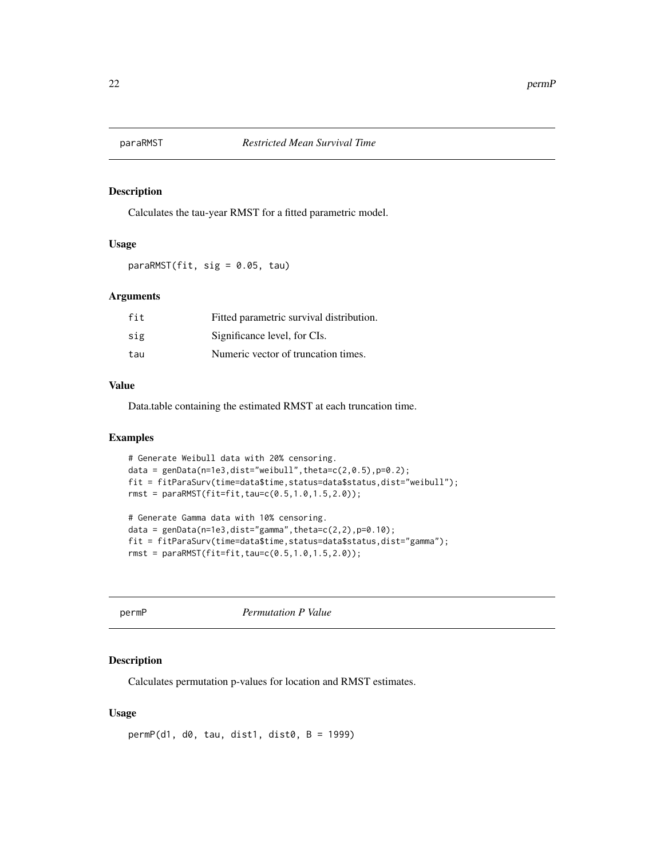<span id="page-21-0"></span>

Calculates the tau-year RMST for a fitted parametric model.

#### Usage

paraRMST(fit, sig = 0.05, tau)

#### Arguments

| fit | Fitted parametric survival distribution. |
|-----|------------------------------------------|
| sig | Significance level, for CIs.             |
| tau | Numeric vector of truncation times.      |

#### Value

Data.table containing the estimated RMST at each truncation time.

#### Examples

```
# Generate Weibull data with 20% censoring.
data = genData(n=1e3,dist="weibull",theta=c(2,0.5),p=0.2);
fit = fitParaSurv(time=data$time,status=data$status,dist="weibull");
rmst = paraRMST(fit=fit,tau=c(0.5,1.0,1.5,2.0));
```

```
# Generate Gamma data with 10% censoring.
data = genData(n=1e3,dist="gamma] , theta=c(2,2), p=0.10);
fit = fitParaSurv(time=data$time,status=data$status,dist="gamma");
rmst = paraRMST(fit=fit,tau=c(0.5,1.0,1.5,2.0));
```
permP *Permutation P Value*

#### Description

Calculates permutation p-values for location and RMST estimates.

#### Usage

 $permP(d1, d0, tau, dist1, dist0, B = 1999)$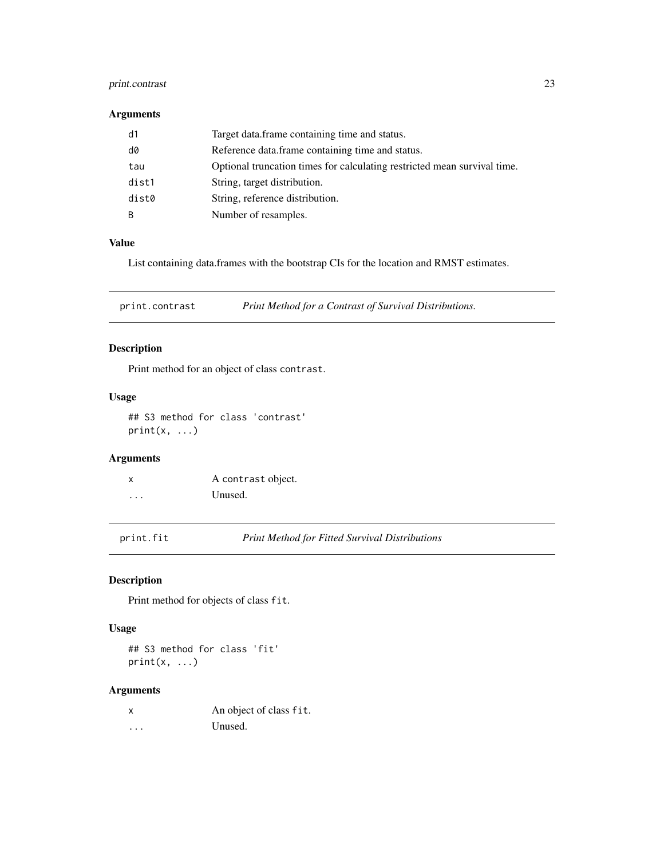#### <span id="page-22-0"></span>print.contrast 23

# Arguments

| d1    | Target data.frame containing time and status.                            |
|-------|--------------------------------------------------------------------------|
| d0    | Reference data.frame containing time and status.                         |
| tau   | Optional truncation times for calculating restricted mean survival time. |
| dist1 | String, target distribution.                                             |
| dist0 | String, reference distribution.                                          |
| B     | Number of resamples.                                                     |

#### Value

List containing data.frames with the bootstrap CIs for the location and RMST estimates.

print.contrast *Print Method for a Contrast of Survival Distributions.*

# Description

Print method for an object of class contrast.

#### Usage

## S3 method for class 'contrast'  $print(x, \ldots)$ 

#### Arguments

|   | A contrast object. |
|---|--------------------|
| . | Unused.            |

print.fit *Print Method for Fitted Survival Distributions*

# Description

Print method for objects of class fit.

### Usage

## S3 method for class 'fit'  $print(x, \ldots)$ 

| X | An object of class fit. |
|---|-------------------------|
| . | Unused.                 |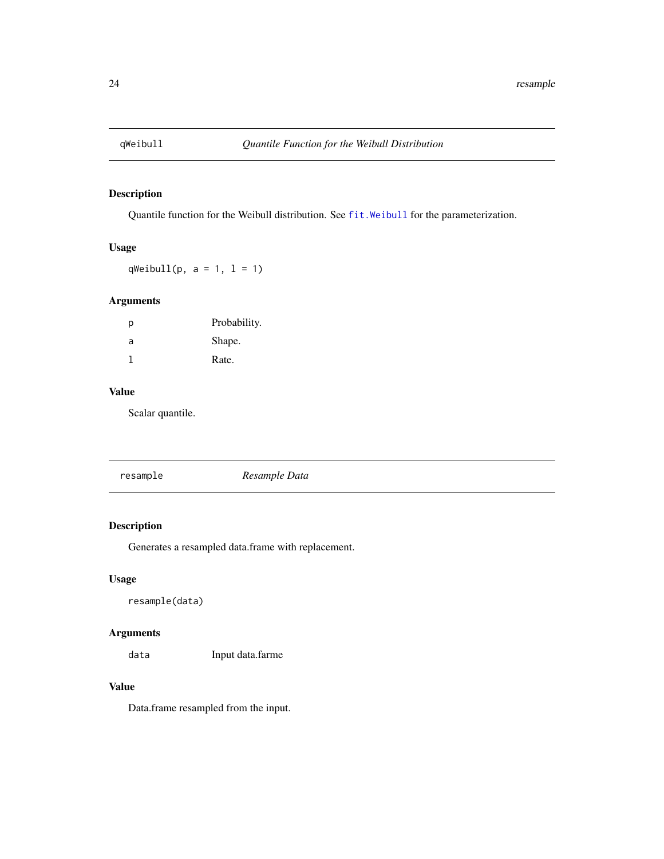<span id="page-23-0"></span>

Quantile function for the Weibull distribution. See [fit.Weibull](#page-15-1) for the parameterization.

#### Usage

qWeibull(p,  $a = 1$ ,  $l = 1$ )

#### Arguments

| р | Probability. |
|---|--------------|
| a | Shape.       |
| 1 | Rate.        |

# Value

Scalar quantile.

|--|--|

# Description

Generates a resampled data.frame with replacement.

#### Usage

```
resample(data)
```
#### Arguments

data Input data.farme

#### Value

Data.frame resampled from the input.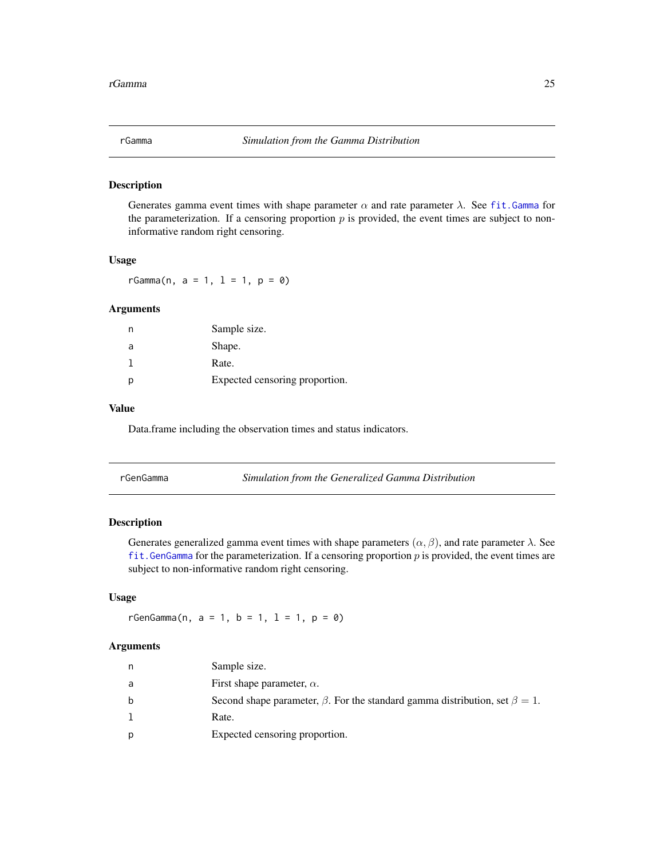<span id="page-24-0"></span>

Generates gamma event times with shape parameter  $\alpha$  and rate parameter  $\lambda$ . See fit. Gamma for the parameterization. If a censoring proportion  $p$  is provided, the event times are subject to noninformative random right censoring.

#### Usage

 $rGamma(n, a = 1, 1 = 1, p = 0)$ 

#### Arguments

|   | Sample size.                   |
|---|--------------------------------|
| a | Shape.                         |
|   | Rate.                          |
|   | Expected censoring proportion. |

#### Value

Data.frame including the observation times and status indicators.

| rGenGamma | Simulation from the Generalized Gamma Distribution |
|-----------|----------------------------------------------------|
|-----------|----------------------------------------------------|

#### Description

Generates generalized gamma event times with shape parameters  $(\alpha, \beta)$ , and rate parameter  $\lambda$ . See fit. GenGamma for the parameterization. If a censoring proportion  $p$  is provided, the event times are subject to non-informative random right censoring.

#### Usage

rGenGamma(n,  $a = 1$ ,  $b = 1$ ,  $1 = 1$ ,  $p = 0$ )

| n | Sample size.                                                                             |
|---|------------------------------------------------------------------------------------------|
| a | First shape parameter, $\alpha$ .                                                        |
| b | Second shape parameter, $\beta$ . For the standard gamma distribution, set $\beta = 1$ . |
|   | Rate.                                                                                    |
| p | Expected censoring proportion.                                                           |
|   |                                                                                          |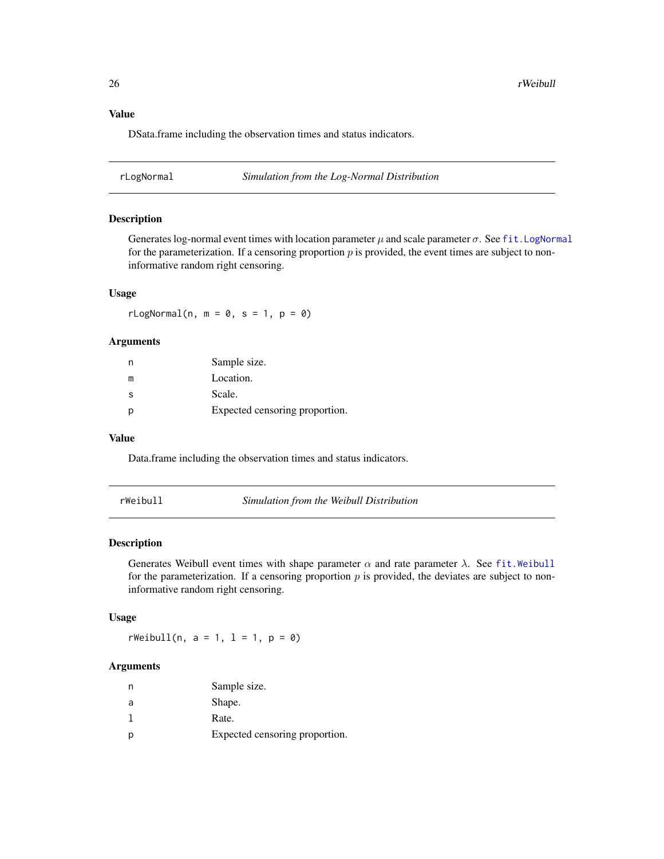<span id="page-25-0"></span>DSata.frame including the observation times and status indicators.

rLogNormal *Simulation from the Log-Normal Distribution*

### Description

Generates log-normal event times with location parameter  $\mu$  and scale parameter  $\sigma$ . See fit. LogNormal for the parameterization. If a censoring proportion  $p$  is provided, the event times are subject to noninformative random right censoring.

#### Usage

 $rLogNormal(n, m = 0, s = 1, p = 0)$ 

#### Arguments

| n | Sample size.                   |
|---|--------------------------------|
| m | Location.                      |
| S | Scale.                         |
| р | Expected censoring proportion. |

#### Value

Data.frame including the observation times and status indicators.

rWeibull *Simulation from the Weibull Distribution*

#### Description

Generates Weibull event times with shape parameter  $\alpha$  and rate parameter  $\lambda$ . See [fit.Weibull](#page-15-1) for the parameterization. If a censoring proportion  $p$  is provided, the deviates are subject to noninformative random right censoring.

#### Usage

 $rWeibull(n, a = 1, l = 1, p = 0)$ 

|   | Sample size.                   |
|---|--------------------------------|
| a | Shape.                         |
|   | Rate.                          |
|   | Expected censoring proportion. |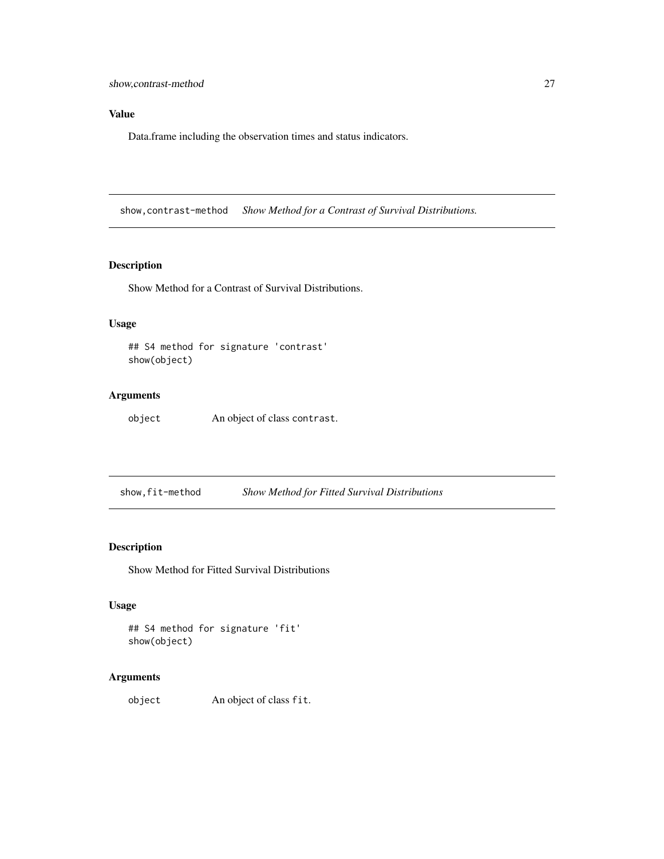# <span id="page-26-0"></span>Value

Data.frame including the observation times and status indicators.

show,contrast-method *Show Method for a Contrast of Survival Distributions.*

### Description

Show Method for a Contrast of Survival Distributions.

#### Usage

```
## S4 method for signature 'contrast'
show(object)
```
# Arguments

object An object of class contrast.

show,fit-method *Show Method for Fitted Survival Distributions*

#### Description

Show Method for Fitted Survival Distributions

# Usage

```
## S4 method for signature 'fit'
show(object)
```
#### Arguments

object An object of class fit.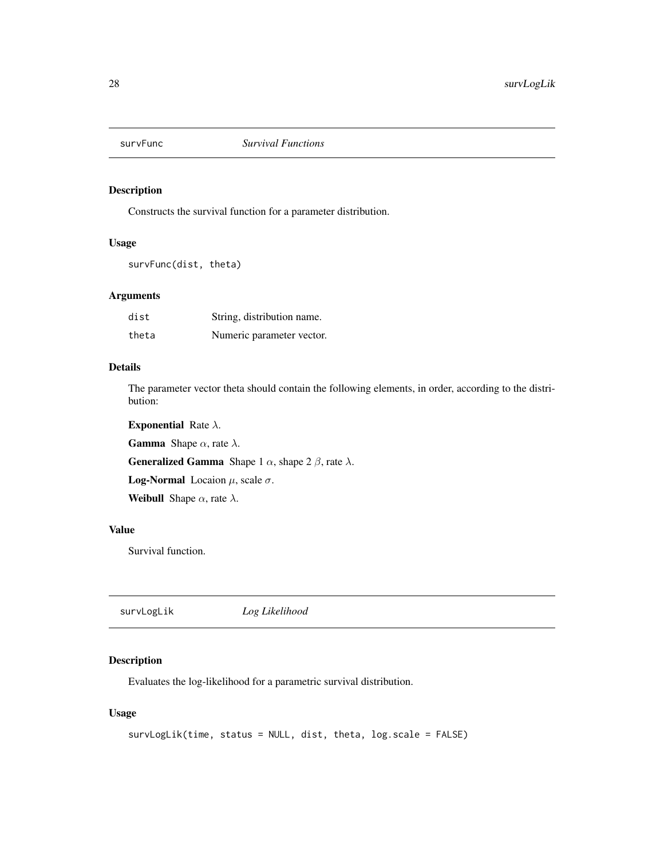<span id="page-27-0"></span>

Constructs the survival function for a parameter distribution.

#### Usage

```
survFunc(dist, theta)
```
# Arguments

| dist  | String, distribution name. |
|-------|----------------------------|
| theta | Numeric parameter vector.  |

#### Details

The parameter vector theta should contain the following elements, in order, according to the distribution:

**Exponential Rate**  $\lambda$ **.** 

**Gamma** Shape  $\alpha$ , rate  $\lambda$ .

**Generalized Gamma** Shape 1  $\alpha$ , shape 2  $\beta$ , rate  $\lambda$ .

**Log-Normal** Locaion  $\mu$ , scale  $\sigma$ .

Weibull Shape  $\alpha$ , rate  $\lambda$ .

#### Value

Survival function.

survLogLik *Log Likelihood*

#### Description

Evaluates the log-likelihood for a parametric survival distribution.

#### Usage

```
survLogLik(time, status = NULL, dist, theta, log.scale = FALSE)
```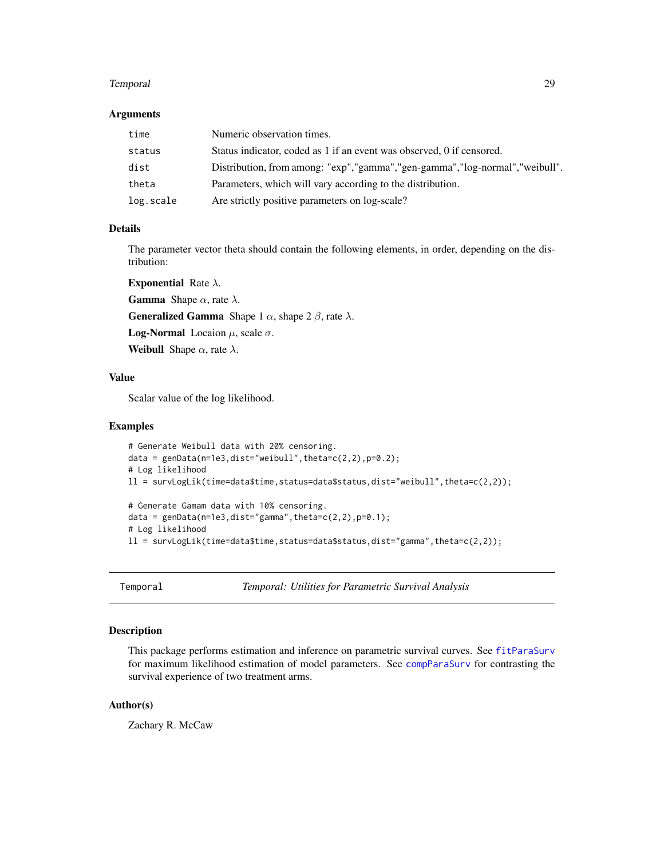#### <span id="page-28-0"></span>Temporal 29

#### Arguments

| time      | Numeric observation times.                                                      |
|-----------|---------------------------------------------------------------------------------|
| status    | Status indicator, coded as 1 if an event was observed, 0 if censored.           |
| dist      | Distribution, from among: "exp", "gamma", "gen-gamma", "log-normal", "weibull". |
| theta     | Parameters, which will vary according to the distribution.                      |
| log.scale | Are strictly positive parameters on log-scale?                                  |

#### Details

The parameter vector theta should contain the following elements, in order, depending on the distribution:

**Exponential Rate**  $\lambda$ **.** 

**Gamma** Shape  $\alpha$ , rate  $\lambda$ .

**Generalized Gamma** Shape 1  $\alpha$ , shape 2  $\beta$ , rate  $\lambda$ .

**Log-Normal** Locaion  $\mu$ , scale  $\sigma$ .

**Weibull** Shape  $\alpha$ , rate  $\lambda$ .

#### Value

Scalar value of the log likelihood.

#### Examples

```
# Generate Weibull data with 20% censoring.
data = genData(n=1e3,dist="weibull",theta=c(2,2),p=0.2);
# Log likelihood
ll = survLogLik(time=data$time,status=data$status,dist="weibull",theta=c(2,2));
# Generate Gamam data with 10% censoring.
data = genData(n=1e3,dist="gamma" gamma", theta=c(2,2), p=0.1);# Log likelihood
ll = survLogLik(time=data$time,status=data$status,dist="gamma",theta=c(2,2));
```
Temporal *Temporal: Utilities for Parametric Survival Analysis*

#### Description

This package performs estimation and inference on parametric survival curves. See [fitParaSurv](#page-16-1) for maximum likelihood estimation of model parameters. See [compParaSurv](#page-5-1) for contrasting the survival experience of two treatment arms.

# Author(s)

Zachary R. McCaw